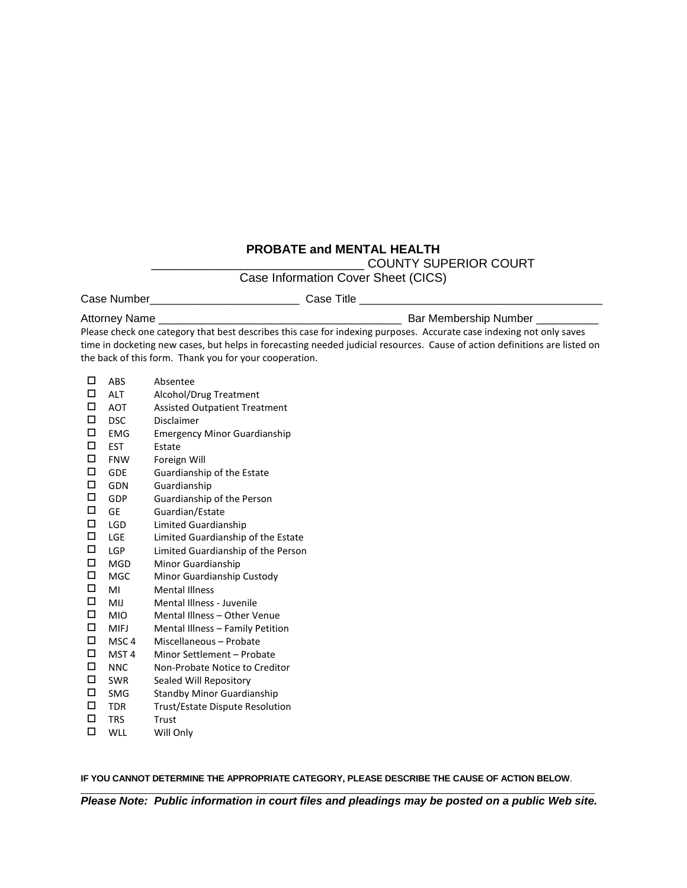## **PROBATE and MENTAL HEALTH**

\_\_\_\_\_\_\_\_\_\_\_\_\_\_\_\_\_\_\_\_\_\_\_\_\_\_\_\_\_\_\_ COUNTY SUPERIOR COURT

Case Information Cover Sheet (CICS)

Case Number\_\_\_\_\_\_\_\_\_\_\_\_\_\_\_\_\_\_\_\_\_\_\_\_ Case Title \_\_\_\_\_\_\_\_\_\_\_\_\_\_\_\_\_\_\_\_\_\_\_\_\_\_\_\_\_\_\_\_\_\_\_\_\_\_\_

Attorney Name \_\_\_\_\_\_\_\_\_\_\_\_\_\_\_\_\_\_\_\_\_\_\_\_\_\_\_\_\_\_\_\_\_\_\_\_\_\_\_ Bar Membership Number \_\_\_\_\_\_\_\_\_\_

Please check one category that best describes this case for indexing purposes. Accurate case indexing not only saves time in docketing new cases, but helps in forecasting needed judicial resources. Cause of action definitions are listed on the back of this form. Thank you for your cooperation.

| ◻      | ABS              | Absentee                             |
|--------|------------------|--------------------------------------|
| □      | <b>ALT</b>       | Alcohol/Drug Treatment               |
| □      | <b>AOT</b>       | <b>Assisted Outpatient Treatment</b> |
| □      | <b>DSC</b>       | Disclaimer                           |
| □      | <b>EMG</b>       | <b>Emergency Minor Guardianship</b>  |
| □      | <b>EST</b>       | Estate                               |
| □      | <b>FNW</b>       | Foreign Will                         |
| □      | <b>GDE</b>       | Guardianship of the Estate           |
| □      | <b>GDN</b>       | Guardianship                         |
| □      | GDP              | Guardianship of the Person           |
| $\Box$ | GE               | Guardian/Estate                      |
| □      | <b>LGD</b>       | Limited Guardianship                 |
| $\Box$ | <b>LGE</b>       | Limited Guardianship of the Estate   |
| $\Box$ | <b>LGP</b>       | Limited Guardianship of the Person   |
| □      | <b>MGD</b>       | Minor Guardianship                   |
| □      | <b>MGC</b>       | Minor Guardianship Custody           |
| □      | MI               | <b>Mental Illness</b>                |
| □      | MIJ              | Mental Illness - Juvenile            |
| □      | <b>MIO</b>       | Mental Illness - Other Venue         |
| □      | <b>MIFJ</b>      | Mental Illness - Family Petition     |
| □      | MSC <sub>4</sub> | Miscellaneous - Probate              |
| □      | MST <sub>4</sub> | Minor Settlement - Probate           |
| □      | <b>NNC</b>       | Non-Probate Notice to Creditor       |
| □      | <b>SWR</b>       | Sealed Will Repository               |
| □      | <b>SMG</b>       | <b>Standby Minor Guardianship</b>    |
| □      | <b>TDR</b>       | Trust/Estate Dispute Resolution      |
| □      | <b>TRS</b>       | Trust                                |
| □      | <b>WLL</b>       | Will Only                            |

**IF YOU CANNOT DETERMINE THE APPROPRIATE CATEGORY, PLEASE DESCRIBE THE CAUSE OF ACTION BELOW**.

 $\_$  ,  $\_$  ,  $\_$  ,  $\_$  ,  $\_$  ,  $\_$  ,  $\_$  ,  $\_$  ,  $\_$  ,  $\_$  ,  $\_$  ,  $\_$  ,  $\_$  ,  $\_$  ,  $\_$  ,  $\_$  ,  $\_$  ,  $\_$  ,  $\_$  ,  $\_$  ,  $\_$  ,  $\_$  ,  $\_$  ,  $\_$  ,  $\_$  ,  $\_$  ,  $\_$  ,  $\_$  ,  $\_$  ,  $\_$  ,  $\_$  ,  $\_$  ,  $\_$  ,  $\_$  ,  $\_$  ,  $\_$  ,  $\_$  , *Please Note: Public information in court files and pleadings may be posted on a public Web site.*